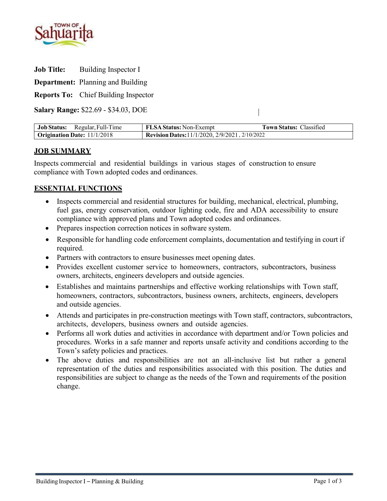

**Job Title:** Building Inspector I

**Department:** Planning and Building

**Reports To:** Chief Building Inspector

**Salary Range:** \$22.69 - \$34.03, DOE

| Job Status: Regular, Full-Time | <b>FLSA Status:</b> Non-Exempt                         | <b>Town Status: Classified</b> |
|--------------------------------|--------------------------------------------------------|--------------------------------|
| Origination Date: 11/1/2018    | Revision Dates: $11/1/2020$ , $2/9/2021$ , $2/10/2022$ |                                |

 $\overline{1}$ 

# **JOB SUMMARY**

Inspects commercial and residential buildings in various stages of construction to ensure compliance with Town adopted codes and ordinances.

# **ESSENTIAL FUNCTIONS**

- Inspects commercial and residential structures for building, mechanical, electrical, plumbing, fuel gas, energy conservation, outdoor lighting code, fire and ADA accessibility to ensure compliance with approved plans and Town adopted codes and ordinances.
- Prepares inspection correction notices in software system.
- Responsible for handling code enforcement complaints, documentation and testifying in court if required.
- Partners with contractors to ensure businesses meet opening dates.
- Provides excellent customer service to homeowners, contractors, subcontractors, business owners, architects, engineers developers and outside agencies.
- Establishes and maintains partnerships and effective working relationships with Town staff, homeowners, contractors, subcontractors, business owners, architects, engineers, developers and outside agencies.
- Attends and participates in pre-construction meetings with Town staff, contractors, subcontractors, architects, developers, business owners and outside agencies.
- Performs all work duties and activities in accordance with department and/or Town policies and procedures. Works in a safe manner and reports unsafe activity and conditions according to the Town's safety policies and practices.
- The above duties and responsibilities are not an all-inclusive list but rather a general representation of the duties and responsibilities associated with this position. The duties and responsibilities are subject to change as the needs of the Town and requirements of the position change.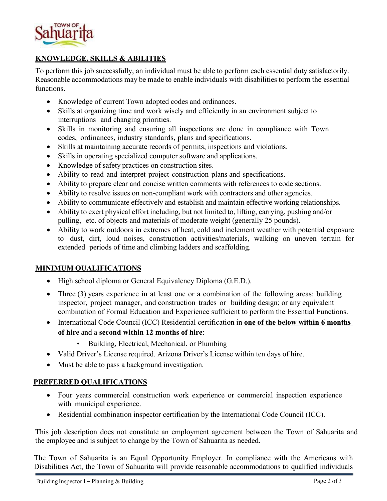

# **KNOWLEDGE, SKILLS & ABILITIES**

To perform this job successfully, an individual must be able to perform each essential duty satisfactorily. Reasonable accommodations may be made to enable individuals with disabilities to perform the essential functions.

- Knowledge of current Town adopted codes and ordinances.
- Skills at organizing time and work wisely and efficiently in an environment subject to interruptions and changing priorities.
- Skills in monitoring and ensuring all inspections are done in compliance with Town codes, ordinances, industry standards, plans and specifications.
- Skills at maintaining accurate records of permits, inspections and violations.
- Skills in operating specialized computer software and applications.
- Knowledge of safety practices on construction sites.
- Ability to read and interpret project construction plans and specifications.
- Ability to prepare clear and concise written comments with references to code sections.
- Ability to resolve issues on non-compliant work with contractors and other agencies.
- Ability to communicate effectively and establish and maintain effective working relationships.
- Ability to exert physical effort including, but not limited to, lifting, carrying, pushing and/or pulling, etc. of objects and materials of moderate weight (generally 25 pounds).
- Ability to work outdoors in extremes of heat, cold and inclement weather with potential exposure to dust, dirt, loud noises, construction activities/materials, walking on uneven terrain for extended periods of time and climbing ladders and scaffolding.

## **MINIMUM QUALIFICATIONS**

- High school diploma or General Equivalency Diploma (G.E.D.).
- Three (3) years experience in at least one or a combination of the following areas: building inspector, project manager, and construction trades or building design; or any equivalent combination of Formal Education and Experience sufficient to perform the Essential Functions.
- International Code Council (ICC) Residential certification in **one of the below within 6 months of hire** and a **second within 12 months of hire**:
	- Building, Electrical, Mechanical, or Plumbing
- Valid Driver's License required. Arizona Driver's License within ten days of hire.
- Must be able to pass a background investigation.

## **PREFERRED QUALIFICATIONS**

- Four years commercial construction work experience or commercial inspection experience with municipal experience.
- Residential combination inspector certification by the International Code Council (ICC).

This job description does not constitute an employment agreement between the Town of Sahuarita and the employee and is subject to change by the Town of Sahuarita as needed.

The Town of Sahuarita is an Equal Opportunity Employer. In compliance with the Americans with Disabilities Act, the Town of Sahuarita will provide reasonable accommodations to qualified individuals